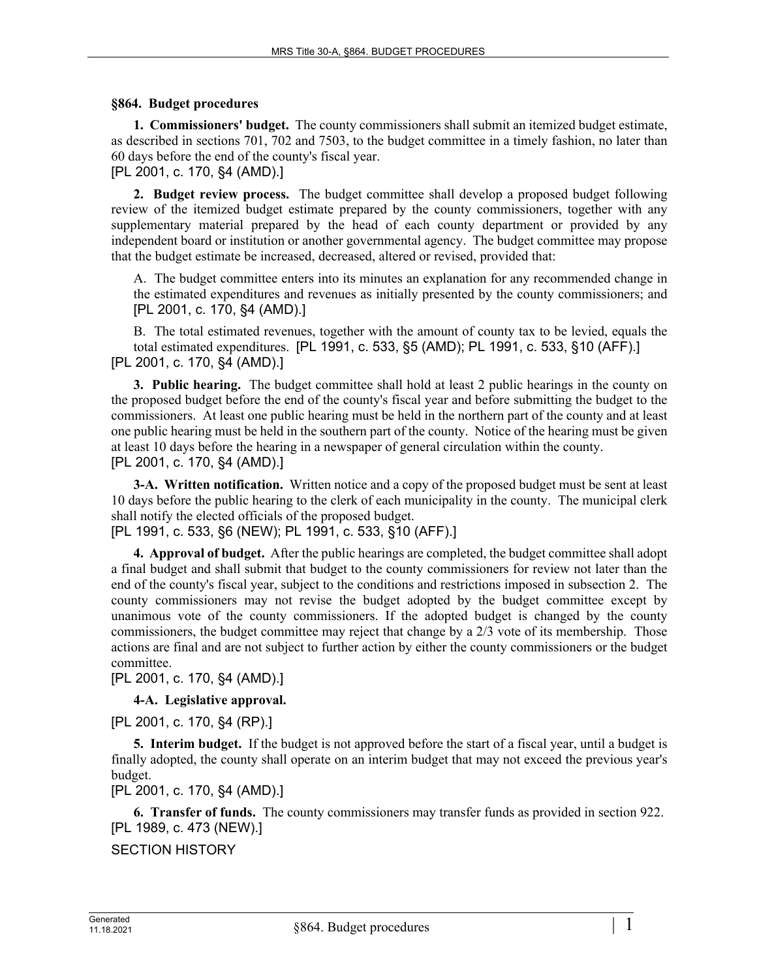## **§864. Budget procedures**

**1. Commissioners' budget.** The county commissioners shall submit an itemized budget estimate, as described in sections 701, 702 and 7503, to the budget committee in a timely fashion, no later than 60 days before the end of the county's fiscal year.

[PL 2001, c. 170, §4 (AMD).]

**2. Budget review process.** The budget committee shall develop a proposed budget following review of the itemized budget estimate prepared by the county commissioners, together with any supplementary material prepared by the head of each county department or provided by any independent board or institution or another governmental agency. The budget committee may propose that the budget estimate be increased, decreased, altered or revised, provided that:

A. The budget committee enters into its minutes an explanation for any recommended change in the estimated expenditures and revenues as initially presented by the county commissioners; and [PL 2001, c. 170, §4 (AMD).]

B. The total estimated revenues, together with the amount of county tax to be levied, equals the total estimated expenditures. [PL 1991, c. 533, §5 (AMD); PL 1991, c. 533, §10 (AFF).] [PL 2001, c. 170, §4 (AMD).]

**3. Public hearing.** The budget committee shall hold at least 2 public hearings in the county on the proposed budget before the end of the county's fiscal year and before submitting the budget to the commissioners. At least one public hearing must be held in the northern part of the county and at least one public hearing must be held in the southern part of the county. Notice of the hearing must be given at least 10 days before the hearing in a newspaper of general circulation within the county. [PL 2001, c. 170, §4 (AMD).]

**3-A. Written notification.** Written notice and a copy of the proposed budget must be sent at least 10 days before the public hearing to the clerk of each municipality in the county. The municipal clerk shall notify the elected officials of the proposed budget.

[PL 1991, c. 533, §6 (NEW); PL 1991, c. 533, §10 (AFF).]

**4. Approval of budget.** After the public hearings are completed, the budget committee shall adopt a final budget and shall submit that budget to the county commissioners for review not later than the end of the county's fiscal year, subject to the conditions and restrictions imposed in subsection 2. The county commissioners may not revise the budget adopted by the budget committee except by unanimous vote of the county commissioners. If the adopted budget is changed by the county commissioners, the budget committee may reject that change by a 2/3 vote of its membership. Those actions are final and are not subject to further action by either the county commissioners or the budget committee.

[PL 2001, c. 170, §4 (AMD).]

**4-A. Legislative approval.** 

[PL 2001, c. 170, §4 (RP).]

**5. Interim budget.** If the budget is not approved before the start of a fiscal year, until a budget is finally adopted, the county shall operate on an interim budget that may not exceed the previous year's budget.

[PL 2001, c. 170, §4 (AMD).]

**6. Transfer of funds.** The county commissioners may transfer funds as provided in section 922. [PL 1989, c. 473 (NEW).]

SECTION HISTORY